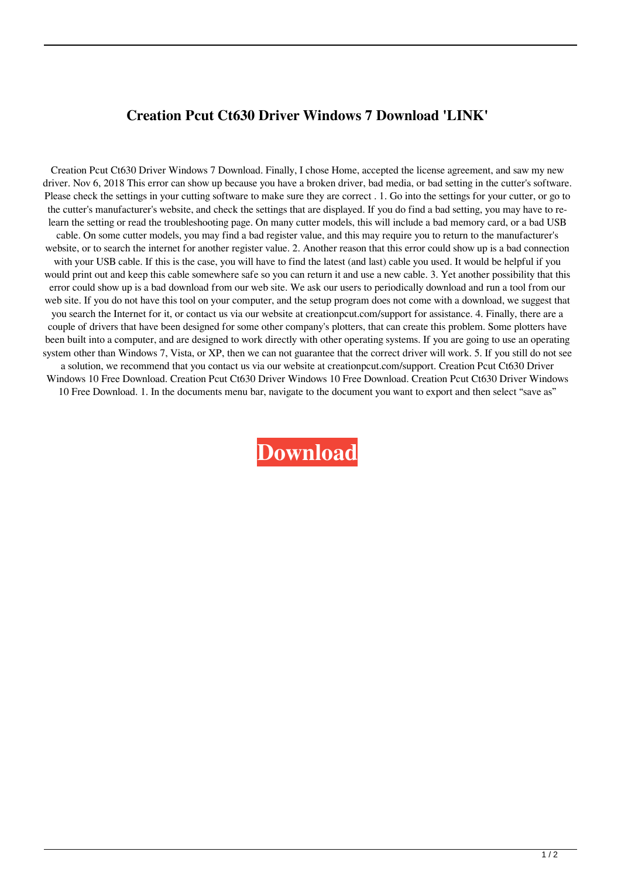## **Creation Pcut Ct630 Driver Windows 7 Download 'LINK'**

Creation Pcut Ct630 Driver Windows 7 Download. Finally, I chose Home, accepted the license agreement, and saw my new driver. Nov 6, 2018 This error can show up because you have a broken driver, bad media, or bad setting in the cutter's software. Please check the settings in your cutting software to make sure they are correct . 1. Go into the settings for your cutter, or go to the cutter's manufacturer's website, and check the settings that are displayed. If you do find a bad setting, you may have to relearn the setting or read the troubleshooting page. On many cutter models, this will include a bad memory card, or a bad USB cable. On some cutter models, you may find a bad register value, and this may require you to return to the manufacturer's website, or to search the internet for another register value. 2. Another reason that this error could show up is a bad connection with your USB cable. If this is the case, you will have to find the latest (and last) cable you used. It would be helpful if you would print out and keep this cable somewhere safe so you can return it and use a new cable. 3. Yet another possibility that this error could show up is a bad download from our web site. We ask our users to periodically download and run a tool from our web site. If you do not have this tool on your computer, and the setup program does not come with a download, we suggest that you search the Internet for it, or contact us via our website at creationpcut.com/support for assistance. 4. Finally, there are a couple of drivers that have been designed for some other company's plotters, that can create this problem. Some plotters have been built into a computer, and are designed to work directly with other operating systems. If you are going to use an operating system other than Windows 7, Vista, or XP, then we can not guarantee that the correct driver will work. 5. If you still do not see a solution, we recommend that you contact us via our website at creationpcut.com/support. Creation Pcut Ct630 Driver Windows 10 Free Download. Creation Pcut Ct630 Driver Windows 10 Free Download. Creation Pcut Ct630 Driver Windows 10 Free Download. 1. In the documents menu bar, navigate to the document you want to export and then select "save as"

**[Download](https://urluss.com/2l07i4)**